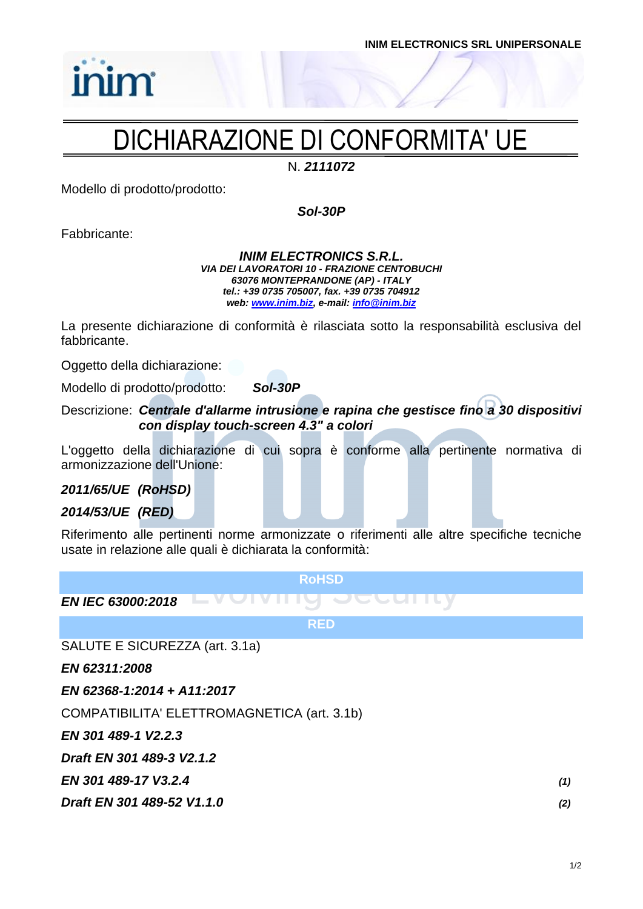# DICHIARAZIONE DI CONFORMITA' UE

N. *2111072*

Modello di prodotto/prodotto:

*Sol-30P*

Fabbricante:

inim

#### *INIM ELECTRONICS S.R.L. VIA DEI LAVORATORI 10 - FRAZIONE CENTOBUCHI 63076 MONTEPRANDONE (AP) - ITALY tel.: +39 0735 705007, fax. +39 0735 704912 web: [www.inim.biz,](http://www.inim.biz/) e-mail[: info@inim.biz](mailto:info@inim.biz)*

La presente dichiarazione di conformità è rilasciata sotto la responsabilità esclusiva del fabbricante.

Oggetto della dichiarazione:

Modello di prodotto/prodotto: *Sol-30P*

Descrizione: *Centrale d'allarme intrusione e rapina che gestisce fino a 30 dispositivi con display touch-screen 4.3" a colori*

L'oggetto della dichiarazione di cui sopra è conforme alla pertinente normativa di armonizzazione dell'Unione:

*2011/65/UE (RoHSD)*

*2014/53/UE (RED)*

Riferimento alle pertinenti norme armonizzate o riferimenti alle altre specifiche tecniche usate in relazione alle quali è dichiarata la conformità:

**RoHSD** *EN IEC 63000:2018* **RED** SALUTE E SICUREZZA (art. 3.1a)

*EN 62311:2008*

*EN 62368-1:2014 + A11:2017*

COMPATIBILITA' ELETTROMAGNETICA (art. 3.1b)

*EN 301 489-1 V2.2.3*

*Draft EN 301 489-3 V2.1.2*

*EN 301 489-17 V3.2.4 (1)*

*Draft EN 301 489-52 V1.1.0 (2)*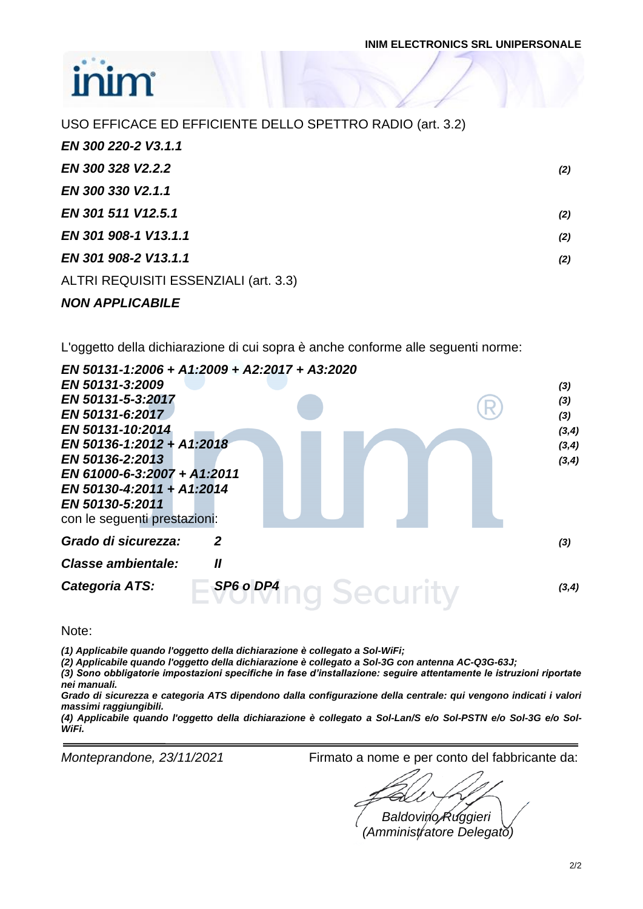### ir ìir

| USO EFFICACE ED EFFICIENTE DELLO SPETTRO RADIO (art. 3.2) |     |
|-----------------------------------------------------------|-----|
| EN 300 220-2 V3.1.1                                       |     |
| EN 300 328 V2.2.2                                         | (2) |
| EN 300 330 V2.1.1                                         |     |
| EN 301 511 V12.5.1                                        | (2) |
| EN 301 908-1 V13.1.1                                      | (2) |
| EN 301 908-2 V13.1.1                                      | (2) |
| ALTRI REQUISITI ESSENZIALI (art. 3.3)                     |     |
| <b>NON APPLICABILE</b>                                    |     |

L'oggetto della dichiarazione di cui sopra è anche conforme alle seguenti norme:

| EN 50131-1:2006 + A1:2009 + A2:2017 + A3:2020 |                            |        |
|-----------------------------------------------|----------------------------|--------|
| EN 50131-3:2009                               |                            | (3)    |
| EN 50131-5-3:2017                             |                            | (3)    |
| EN 50131-6:2017                               |                            | (3)    |
| EN 50131-10:2014                              |                            | (3, 4) |
| EN 50136-1:2012 + A1:2018                     |                            | (3, 4) |
| EN 50136-2:2013                               |                            | (3, 4) |
| EN 61000-6-3:2007 + A1:2011                   |                            |        |
| EN 50130-4:2011 + A1:2014                     |                            |        |
| EN 50130-5:2011                               |                            |        |
| con le seguenti prestazioni:                  |                            |        |
| Grado di sicurezza:                           | 2                          | (3)    |
| Classe ambientale:                            | $\boldsymbol{\mathit{II}}$ |        |
| Categoria ATS:                                | SP6 o DP4                  | (3,4)  |

Note:

*(1) Applicabile quando l'oggetto della dichiarazione è collegato a Sol-WiFi;*

*(2) Applicabile quando l'oggetto della dichiarazione è collegato a Sol-3G con antenna AC-Q3G-63J;*

*(3) Sono obbligatorie impostazioni specifiche in fase d'installazione: seguire attentamente le istruzioni riportate nei manuali.*

*Grado di sicurezza e categoria ATS dipendono dalla configurazione della centrale: qui vengono indicati i valori massimi raggiungibili.*

*(4) Applicabile quando l'oggetto della dichiarazione è collegato a Sol-Lan/S e/o Sol-PSTN e/o Sol-3G e/o Sol-WiFi.*

*Monteprandone, 23/11/2021* Firmato a nome e per conto del fabbricante da:

*Baldovino Ruggieri (Amministratore Delegato)*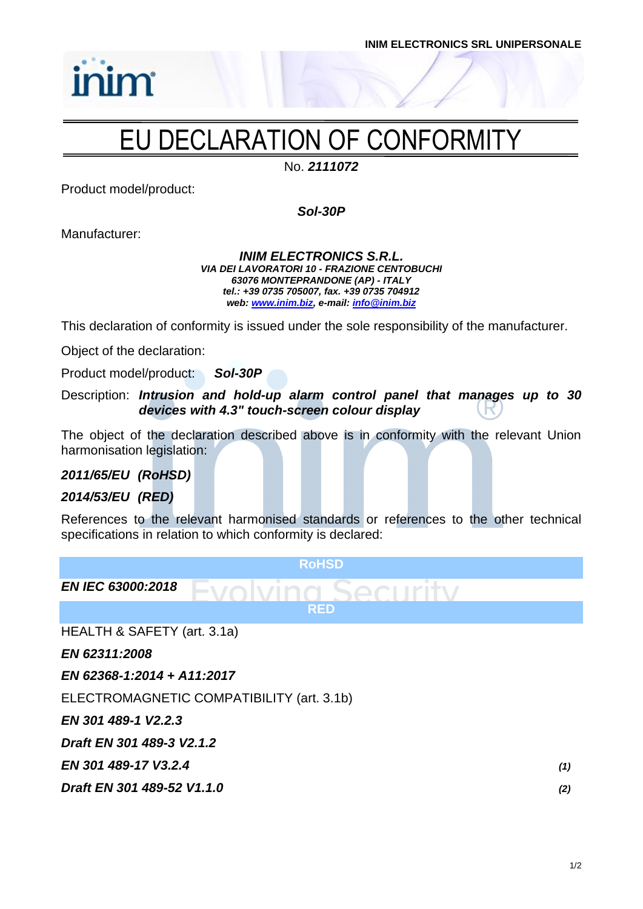

# EU DECLARATION OF CONFORMITY

No. *2111072*

Product model/product:

inim

*Sol-30P*

Manufacturer:

#### *INIM ELECTRONICS S.R.L. VIA DEI LAVORATORI 10 - FRAZIONE CENTOBUCHI 63076 MONTEPRANDONE (AP) - ITALY tel.: +39 0735 705007, fax. +39 0735 704912 web: [www.inim.biz,](http://www.inim.biz/) e-mail[: info@inim.biz](mailto:info@inim.biz)*

This declaration of conformity is issued under the sole responsibility of the manufacturer.

Object of the declaration:

Product model/product: *Sol-30P*

Description: *Intrusion and hold-up alarm control panel that manages up to 30 devices with 4.3" touch-screen colour display*

The object of the declaration described above is in conformity with the relevant Union harmonisation legislation:

*2011/65/EU (RoHSD)*

#### *2014/53/EU (RED)*

References to the relevant harmonised standards or references to the other technical specifications in relation to which conformity is declared:

| <b>RoHSD</b>                                          |     |
|-------------------------------------------------------|-----|
| <b>EN IEC 63000:2018</b><br>SACHITY<br><b>EVONIDA</b> |     |
| <b>RED</b>                                            |     |
| HEALTH & SAFETY (art. 3.1a)                           |     |
| EN 62311:2008                                         |     |
| EN 62368-1:2014 + A11:2017                            |     |
| ELECTROMAGNETIC COMPATIBILITY (art. 3.1b)             |     |
| EN 301 489-1 V2.2.3                                   |     |
| Draft EN 301 489-3 V2.1.2                             |     |
| EN 301 489-17 V3.2.4                                  | (1) |
| Draft EN 301 489-52 V1.1.0                            | (2) |
|                                                       |     |